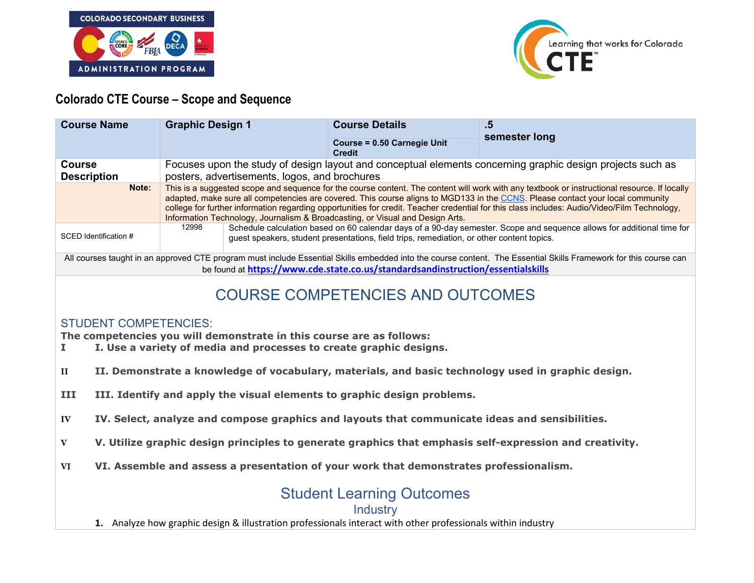



## **Colorado CTE Course – Scope and Sequence**

| <b>Course Name</b>                                                                                                                                                                                                                                  | <b>Graphic Design 1</b>                                                                                                                                                                                                                                                                                                                                                                                                                                                                                         | <b>Course Details</b><br><b>Course = 0.50 Carnegie Unit</b><br><b>Credit</b> | .5<br>semester long |
|-----------------------------------------------------------------------------------------------------------------------------------------------------------------------------------------------------------------------------------------------------|-----------------------------------------------------------------------------------------------------------------------------------------------------------------------------------------------------------------------------------------------------------------------------------------------------------------------------------------------------------------------------------------------------------------------------------------------------------------------------------------------------------------|------------------------------------------------------------------------------|---------------------|
| Course<br><b>Description</b>                                                                                                                                                                                                                        | Focuses upon the study of design layout and conceptual elements concerning graphic design projects such as<br>posters, advertisements, logos, and brochures                                                                                                                                                                                                                                                                                                                                                     |                                                                              |                     |
| Note:                                                                                                                                                                                                                                               | This is a suggested scope and sequence for the course content. The content will work with any textbook or instructional resource. If locally<br>adapted, make sure all competencies are covered. This course aligns to MGD133 in the CCNS. Please contact your local community<br>college for further information regarding opportunities for credit. Teacher credential for this class includes: Audio/Video/Film Technology,<br>Information Technology, Journalism & Broadcasting, or Visual and Design Arts. |                                                                              |                     |
| SCED Identification #                                                                                                                                                                                                                               | 12998<br>Schedule calculation based on 60 calendar days of a 90-day semester. Scope and sequence allows for additional time for<br>guest speakers, student presentations, field trips, remediation, or other content topics.                                                                                                                                                                                                                                                                                    |                                                                              |                     |
| All courses taught in an approved CTE program must include Essential Skills embedded into the course content. The Essential Skills Framework for this course can<br>be found at https://www.cde.state.co.us/standardsandinstruction/essentialskills |                                                                                                                                                                                                                                                                                                                                                                                                                                                                                                                 |                                                                              |                     |
| <b>COURSE COMPETENCIES AND OUTCOMES</b>                                                                                                                                                                                                             |                                                                                                                                                                                                                                                                                                                                                                                                                                                                                                                 |                                                                              |                     |
| <b>STUDENT COMPETENCIES:</b><br>The competencies you will demonstrate in this course are as follows:<br>I. Use a variety of media and processes to create graphic designs.                                                                          |                                                                                                                                                                                                                                                                                                                                                                                                                                                                                                                 |                                                                              |                     |
| II. Demonstrate a knowledge of vocabulary, materials, and basic technology used in graphic design.<br>$\mathbf{H}$                                                                                                                                  |                                                                                                                                                                                                                                                                                                                                                                                                                                                                                                                 |                                                                              |                     |
| III<br>III. Identify and apply the visual elements to graphic design problems.                                                                                                                                                                      |                                                                                                                                                                                                                                                                                                                                                                                                                                                                                                                 |                                                                              |                     |

- **IV IV. Select, analyze and compose graphics and layouts that communicate ideas and sensibilities.**
- **V V. Utilize graphic design principles to generate graphics that emphasis self-expression and creativity.**
- **VI VI. Assemble and assess a presentation of your work that demonstrates professionalism.**

# Student Learning Outcomes

#### **Industry**

**1.** Analyze how graphic design & illustration professionals interact with other professionals within industry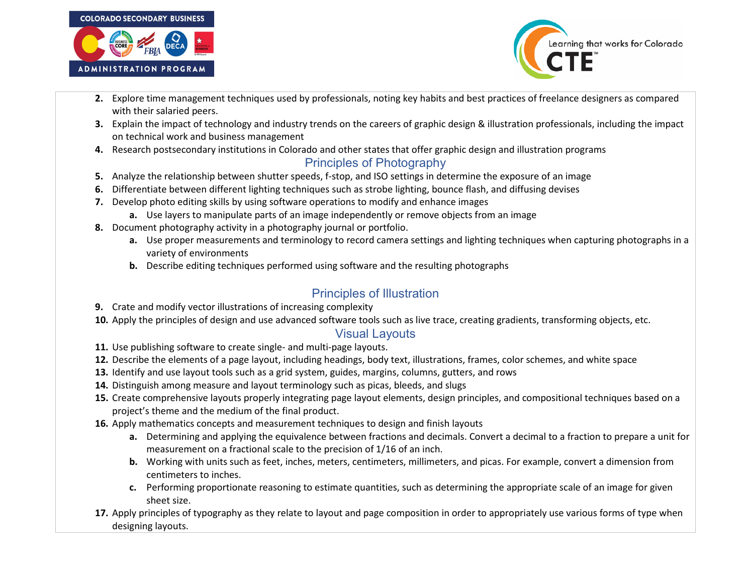



- **2.** Explore time management techniques used by professionals, noting key habits and best practices of freelance designers as compared with their salaried peers.
- **3.** Explain the impact of technology and industry trends on the careers of graphic design & illustration professionals, including the impact on technical work and business management
- **4.** Research postsecondary institutions in Colorado and other states that offer graphic design and illustration programs

## Principles of Photography

- **5.** Analyze the relationship between shutter speeds, f-stop, and ISO settings in determine the exposure of an image
- **6.** Differentiate between different lighting techniques such as strobe lighting, bounce flash, and diffusing devises
- **7.** Develop photo editing skills by using software operations to modify and enhance images
	- **a.** Use layers to manipulate parts of an image independently or remove objects from an image
- **8.** Document photography activity in a photography journal or portfolio.
	- **a.** Use proper measurements and terminology to record camera settings and lighting techniques when capturing photographs in a variety of environments
	- **b.** Describe editing techniques performed using software and the resulting photographs

## Principles of Illustration

- **9.** Crate and modify vector illustrations of increasing complexity
- **10.** Apply the principles of design and use advanced software tools such as live trace, creating gradients, transforming objects, etc.

### Visual Layouts

- **11.** Use publishing software to create single- and multi-page layouts.
- **12.** Describe the elements of a page layout, including headings, body text, illustrations, frames, color schemes, and white space
- **13.** Identify and use layout tools such as a grid system, guides, margins, columns, gutters, and rows
- **14.** Distinguish among measure and layout terminology such as picas, bleeds, and slugs
- **15.** Create comprehensive layouts properly integrating page layout elements, design principles, and compositional techniques based on a project's theme and the medium of the final product.
- **16.** Apply mathematics concepts and measurement techniques to design and finish layouts
	- **a.** Determining and applying the equivalence between fractions and decimals. Convert a decimal to a fraction to prepare a unit for measurement on a fractional scale to the precision of 1/16 of an inch.
	- **b.** Working with units such as feet, inches, meters, centimeters, millimeters, and picas. For example, convert a dimension from centimeters to inches.
	- **c.** Performing proportionate reasoning to estimate quantities, such as determining the appropriate scale of an image for given sheet size.
- **17.** Apply principles of typography as they relate to layout and page composition in order to appropriately use various forms of type when designing layouts.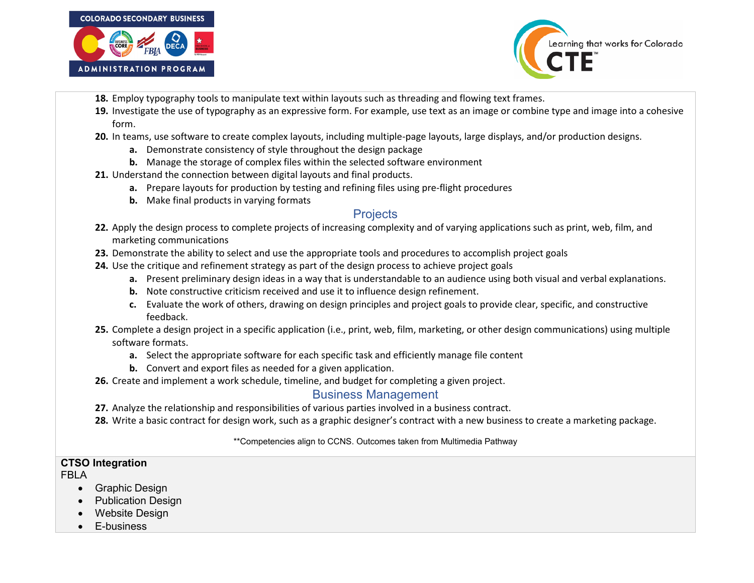



- **18.** Employ typography tools to manipulate text within layouts such as threading and flowing text frames.
- **19.** Investigate the use of typography as an expressive form. For example, use text as an image or combine type and image into a cohesive form.
- **20.** In teams, use software to create complex layouts, including multiple-page layouts, large displays, and/or production designs.
	- **a.** Demonstrate consistency of style throughout the design package
	- **b.** Manage the storage of complex files within the selected software environment
- **21.** Understand the connection between digital layouts and final products.
	- **a.** Prepare layouts for production by testing and refining files using pre-flight procedures
	- **b.** Make final products in varying formats

### **Projects**

- **22.** Apply the design process to complete projects of increasing complexity and of varying applications such as print, web, film, and marketing communications
- **23.** Demonstrate the ability to select and use the appropriate tools and procedures to accomplish project goals
- **24.** Use the critique and refinement strategy as part of the design process to achieve project goals
	- **a.** Present preliminary design ideas in a way that is understandable to an audience using both visual and verbal explanations.
	- **b.** Note constructive criticism received and use it to influence design refinement.
	- **c.** Evaluate the work of others, drawing on design principles and project goals to provide clear, specific, and constructive feedback.
- **25.** Complete a design project in a specific application (i.e., print, web, film, marketing, or other design communications) using multiple software formats.
	- **a.** Select the appropriate software for each specific task and efficiently manage file content
	- **b.** Convert and export files as needed for a given application.
- **26.** Create and implement a work schedule, timeline, and budget for completing a given project.

### Business Management

- **27.** Analyze the relationship and responsibilities of various parties involved in a business contract.
- **28.** Write a basic contract for design work, such as a graphic designer's contract with a new business to create a marketing package.

#### \*\*Competencies align to CCNS. Outcomes taken from Multimedia Pathway

### **CTSO Integration**

FBLA

- Graphic Design
- Publication Design
- Website Design
- E-business